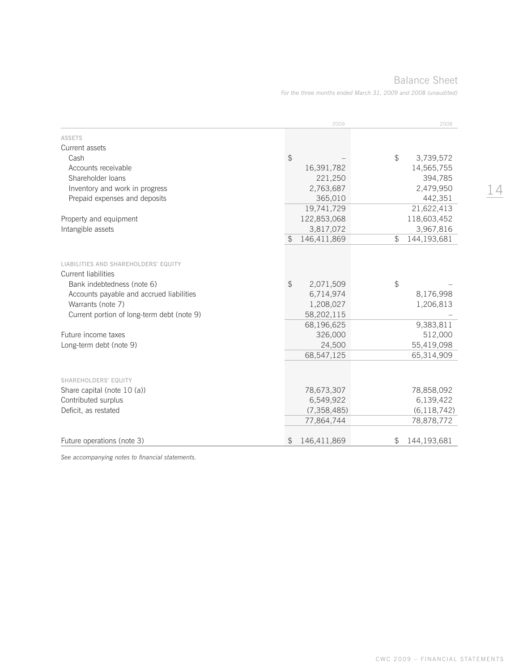## Balance Sheet

*For the three months ended March 31, 2009 and 2008 (unaudited)*

|                                                                    | 2009                          | 2008                    |
|--------------------------------------------------------------------|-------------------------------|-------------------------|
| <b>ASSETS</b>                                                      |                               |                         |
| Current assets                                                     |                               |                         |
| Cash                                                               | \$                            | \$<br>3,739,572         |
| Accounts receivable                                                | 16,391,782                    | 14,565,755              |
| Shareholder loans                                                  | 221,250                       | 394,785                 |
| Inventory and work in progress                                     | 2,763,687                     | 2,479,950               |
| Prepaid expenses and deposits                                      | 365,010                       | 442,351                 |
|                                                                    | 19,741,729                    | 21,622,413              |
| Property and equipment                                             | 122,853,068                   | 118,603,452             |
| Intangible assets                                                  | 3,817,072                     | 3,967,816               |
|                                                                    | 146,411,869<br>$\mathfrak{L}$ | 144,193,681<br>\$       |
| LIABILITIES AND SHAREHOLDERS' EQUITY<br><b>Current liabilities</b> |                               |                         |
| Bank indebtedness (note 6)                                         | $\frac{1}{2}$<br>2,071,509    | \$                      |
| Accounts payable and accrued liabilities                           | 6,714,974                     | 8,176,998               |
| Warrants (note 7)                                                  | 1,208,027                     | 1,206,813               |
| Current portion of long-term debt (note 9)                         | 58,202,115                    |                         |
|                                                                    | 68,196,625                    | 9,383,811               |
| Future income taxes                                                | 326,000                       | 512,000                 |
| Long-term debt (note 9)                                            | 24,500                        | 55,419,098              |
|                                                                    | 68,547,125                    | 65,314,909              |
|                                                                    |                               |                         |
| SHAREHOLDERS' EQUITY                                               |                               |                         |
| Share capital (note 10 (a))<br>Contributed surplus                 | 78,673,307<br>6,549,922       | 78,858,092<br>6,139,422 |
| Deficit, as restated                                               | (7, 358, 485)                 | (6, 118, 742)           |
|                                                                    |                               | 78,878,772              |
|                                                                    | 77,864,744                    |                         |
| Future operations (note 3)                                         | \$<br>146,411,869             | 144,193,681<br>\$       |

*See accompanying notes to financial statements.*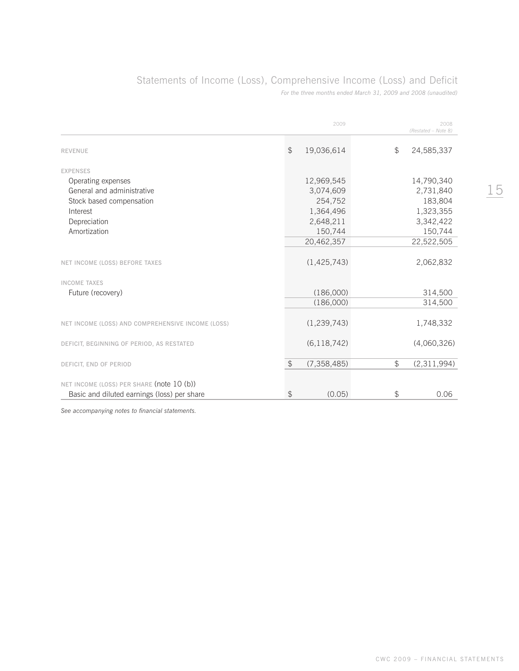# Statements of Income (Loss), Comprehensive Income (Loss) and Deficit

*For the three months ended March 31, 2009 and 2008 (unaudited)*

|                                                   |               | 2009          |       | 2008<br>(Restated - Note 8) |
|---------------------------------------------------|---------------|---------------|-------|-----------------------------|
| <b>REVENUE</b>                                    | $\mathcal{L}$ | 19,036,614    | \$    | 24,585,337                  |
| <b>EXPENSES</b>                                   |               |               |       |                             |
| Operating expenses                                |               | 12,969,545    |       | 14,790,340                  |
| General and administrative                        |               | 3,074,609     |       | 2,731,840                   |
| Stock based compensation                          |               | 254,752       |       | 183,804                     |
| Interest                                          |               | 1,364,496     |       | 1,323,355                   |
| Depreciation                                      |               | 2,648,211     |       | 3,342,422                   |
| Amortization                                      |               | 150,744       |       | 150,744                     |
|                                                   |               | 20,462,357    |       | 22,522,505                  |
| NET INCOME (LOSS) BEFORE TAXES                    |               | (1, 425, 743) |       | 2,062,832                   |
| <b>INCOME TAXES</b>                               |               |               |       |                             |
| Future (recovery)                                 |               | (186,000)     |       | 314,500                     |
|                                                   |               | (186,000)     |       | 314,500                     |
|                                                   |               |               |       |                             |
| NET INCOME (LOSS) AND COMPREHENSIVE INCOME (LOSS) |               | (1, 239, 743) |       | 1,748,332                   |
| DEFICIT, BEGINNING OF PERIOD, AS RESTATED         |               | (6, 118, 742) |       | (4,060,326)                 |
| DEFICIT, END OF PERIOD                            | $\sqrt{2}$    | (7, 358, 485) | $\Im$ | (2,311,994)                 |
|                                                   |               |               |       |                             |
| NET INCOME (LOSS) PER SHARE (note 10 (b))         |               |               |       |                             |
| Basic and diluted earnings (loss) per share       | \$            | (0.05)        | \$    | 0.06                        |

*See accompanying notes to financial statements.*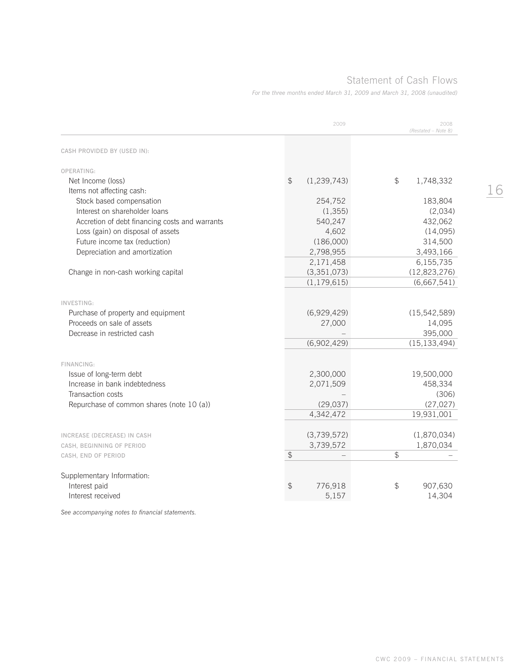# Statement of Cash Flows

*For the three months ended March 31, 2009 and March 31, 2008 (unaudited)*

|                                                | 2009                           | 2008<br>(Restated - Note 8) |
|------------------------------------------------|--------------------------------|-----------------------------|
| CASH PROVIDED BY (USED IN):                    |                                |                             |
| OPERATING:                                     |                                |                             |
| Net Income (loss)                              | $\mathcal{L}$<br>(1, 239, 743) | \$<br>1,748,332             |
| Items not affecting cash:                      |                                |                             |
| Stock based compensation                       | 254,752                        | 183,804                     |
| Interest on shareholder loans                  | (1,355)                        | (2,034)                     |
| Accretion of debt financing costs and warrants | 540,247                        | 432,062                     |
| Loss (gain) on disposal of assets              | 4,602                          | (14,095)                    |
| Future income tax (reduction)                  | (186,000)                      | 314,500                     |
| Depreciation and amortization                  | 2,798,955                      | 3,493,166                   |
|                                                | 2,171,458                      | 6,155,735                   |
| Change in non-cash working capital             | (3, 351, 073)                  | (12, 823, 276)              |
|                                                | (1, 179, 615)                  | (6,667,541)                 |
| INVESTING:                                     |                                |                             |
| Purchase of property and equipment             | (6,929,429)                    | (15, 542, 589)              |
| Proceeds on sale of assets                     | 27,000                         | 14,095                      |
| Decrease in restricted cash                    |                                | 395,000                     |
|                                                | (6,902,429)                    | (15, 133, 494)              |
|                                                |                                |                             |
| FINANCING:                                     |                                |                             |
| Issue of long-term debt                        | 2,300,000                      | 19,500,000                  |
| Increase in bank indebtedness                  | 2,071,509                      | 458,334                     |
| Transaction costs                              |                                | (306)                       |
| Repurchase of common shares (note 10 (a))      | (29, 037)                      | (27, 027)                   |
|                                                | 4,342,472                      | 19,931,001                  |
|                                                |                                |                             |
| INCREASE (DECREASE) IN CASH                    | (3,739,572)                    | (1,870,034)                 |
| CASH, BEGINNING OF PERIOD                      | 3,739,572                      | 1,870,034                   |
| CASH, END OF PERIOD                            | $\mathcal{L}$                  | $\mathcal{L}$               |
| Supplementary Information:                     |                                |                             |
| Interest paid                                  | \$<br>776,918                  | \$<br>907,630               |
| Interest received                              | 5,157                          | 14,304                      |

*See accompanying notes to financial statements.*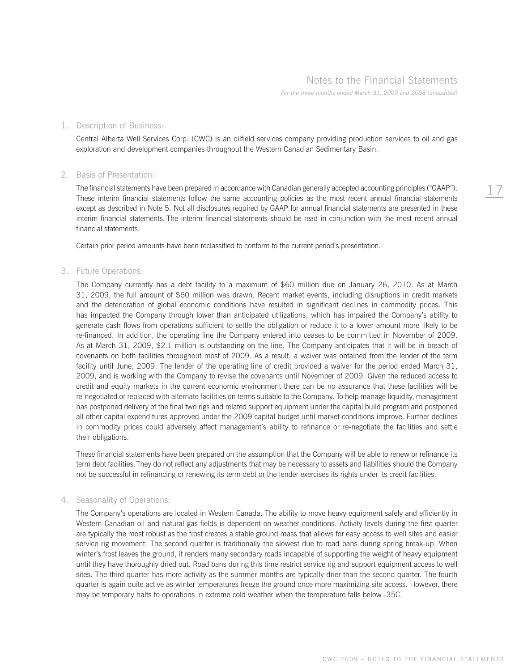## Notes to the Financial Statements

*For the three months ended March 31, 2009 and 2008 (unaudited)*

#### 1. Description of Business:

 Central Alberta Well Services Corp. (CWC) is an oilfield services company providing production services to oil and gas exploration and development companies throughout the Western Canadian Sedimentary Basin.

#### 2. Basis of Presentation:

 The financial statements have been prepared in accordance with Canadian generally accepted accounting principles ("GAAP"). These interim financial statements follow the same accounting policies as the most recent annual financial statements except as described in Note 5. Not all disclosures required by GAAP for annual financial statements are presented in these interim financial statements. The interim financial statements should be read in conjunction with the most recent annual financial statements.

Certain prior period amounts have been reclassified to conform to the current period's presentation.

#### 3. Future Operations:

 The Company currently has a debt facility to a maximum of \$60 million due on January 26, 2010. As at March 31, 2009, the full amount of \$60 million was drawn. Recent market events, including disruptions in credit markets and the deterioration of global economic conditions have resulted in significant declines in commodity prices. This has impacted the Company through lower than anticipated utilizations, which has impaired the Company's ability to generate cash flows from operations sufficient to settle the obligation or reduce it to a lower amount more likely to be re-financed. In addition, the operating line the Company entered into ceases to be committed in November of 2009. As at March 31, 2009, \$2.1 million is outstanding on the line. The Company anticipates that it will be in breach of covenants on both facilities throughout most of 2009. As a result, a waiver was obtained from the lender of the term facility until June, 2009. The lender of the operating line of credit provided a waiver for the period ended March 31, 2009, and is working with the Company to revise the covenants until November of 2009. Given the reduced access to credit and equity markets in the current economic environment there can be no assurance that these facilities will be re-negotiated or replaced with alternate facilities on terms suitable to the Company. To help manage liquidity, management has postponed delivery of the final two rigs and related support equipment under the capital build program and postponed all other capital expenditures approved under the 2009 capital budget until market conditions improve. Further declines in commodity prices could adversely affect management's ability to refinance or re-negotiate the facilities and settle their obligations.

 These financial statements have been prepared on the assumption that the Company will be able to renew or refinance its term debt facilities. They do not reflect any adjustments that may be necessary to assets and liabilities should the Company not be successful in refinancing or renewing its term debt or the lender exercises its rights under its credit facilities.

#### 4. Seasonality of Operations:

 The Company's operations are located in Western Canada. The ability to move heavy equipment safely and efficiently in Western Canadian oil and natural gas fields is dependent on weather conditions. Activity levels during the first quarter are typically the most robust as the frost creates a stable ground mass that allows for easy access to well sites and easier service rig movement. The second quarter is traditionally the slowest due to road bans during spring break-up. When winter's frost leaves the ground, it renders many secondary roads incapable of supporting the weight of heavy equipment until they have thoroughly dried out. Road bans during this time restrict service rig and support equipment access to well sites. The third quarter has more activity as the summer months are typically drier than the second quarter. The fourth quarter is again quite active as winter temperatures freeze the ground once more maximizing site access. However, there may be temporary halts to operations in extreme cold weather when the temperature falls below -35C.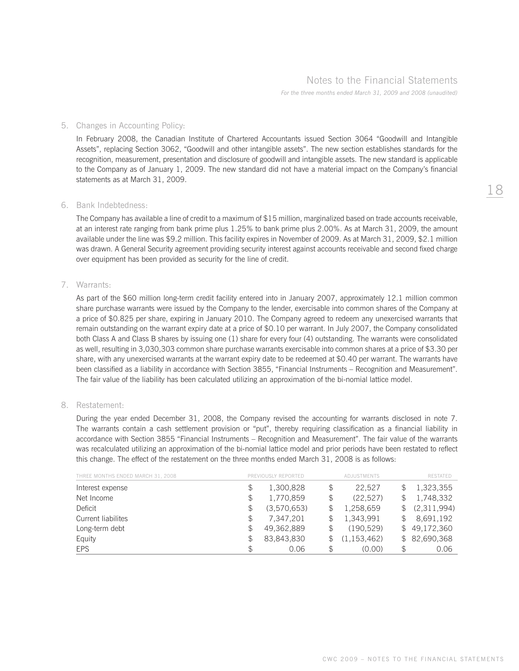## Notes to the Financial Statements

*For the three months ended March 31, 2009 and 2008 (unaudited)*

#### 5. Changes in Accounting Policy:

 In February 2008, the Canadian Institute of Chartered Accountants issued Section 3064 "Goodwill and Intangible Assets", replacing Section 3062, "Goodwill and other intangible assets". The new section establishes standards for the recognition, measurement, presentation and disclosure of goodwill and intangible assets. The new standard is applicable to the Company as of January 1, 2009. The new standard did not have a material impact on the Company's financial statements as at March 31, 2009.

#### 6. Bank Indebtedness:

 The Company has available a line of credit to a maximum of \$15 million, marginalized based on trade accounts receivable, at an interest rate ranging from bank prime plus 1.25% to bank prime plus 2.00%. As at March 31, 2009, the amount available under the line was \$9.2 million. This facility expires in November of 2009. As at March 31, 2009, \$2.1 million was drawn. A General Security agreement providing security interest against accounts receivable and second fixed charge over equipment has been provided as security for the line of credit.

#### 7. Warrants:

 As part of the \$60 million long-term credit facility entered into in January 2007, approximately 12.1 million common share purchase warrants were issued by the Company to the lender, exercisable into common shares of the Company at a price of \$0.825 per share, expiring in January 2010. The Company agreed to redeem any unexercised warrants that remain outstanding on the warrant expiry date at a price of \$0.10 per warrant. In July 2007, the Company consolidated both Class A and Class B shares by issuing one (1) share for every four (4) outstanding. The warrants were consolidated as well, resulting in 3,030,303 common share purchase warrants exercisable into common shares at a price of \$3.30 per share, with any unexercised warrants at the warrant expiry date to be redeemed at \$0.40 per warrant. The warrants have been classified as a liability in accordance with Section 3855, "Financial Instruments – Recognition and Measurement". The fair value of the liability has been calculated utilizing an approximation of the bi-nomial lattice model.

#### 8. Restatement:

 During the year ended December 31, 2008, the Company revised the accounting for warrants disclosed in note 7. The warrants contain a cash settlement provision or "put", thereby requiring classification as a financial liability in accordance with Section 3855 "Financial Instruments – Recognition and Measurement". The fair value of the warrants was recalculated utilizing an approximation of the bi-nomial lattice model and prior periods have been restated to reflect this change. The effect of the restatement on the three months ended March 31, 2008 is as follows:

| THREE MONTHS ENDED MARCH 31, 2008 |               | PREVIOUSLY REPORTED | ADJUSTMENTS     |              | <b>RESTATED</b> |
|-----------------------------------|---------------|---------------------|-----------------|--------------|-----------------|
| Interest expense                  | \$            | 1,300,828           | \$<br>22.527    |              | 1,323,355       |
| Net Income                        | \$            | 1,770,859           | \$<br>(22.527)  |              | 1,748,332       |
| Deficit                           | \$            | (3,570,653)         | \$<br>1,258,659 | \$           | (2,311,994)     |
| Current liabilites                | \$            | 7.347.201           | \$<br>1,343,991 | \$           | 8,691,192       |
| Long-term debt                    | \$            | 49,362,889          | \$<br>(190.529) | $\mathbb{S}$ | 49,172,360      |
| Equity                            | $\mathcal{F}$ | 83,843,830          | (1, 153, 462)   |              | \$82,690,368    |
| <b>EPS</b>                        | \$            | 0.06                | \$<br>(0.00)    | \$           | 0.06            |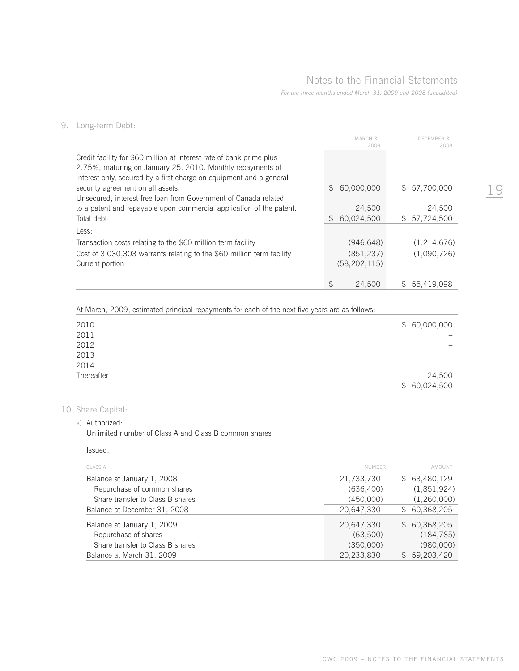# Notes to the Financial Statements

*For the three months ended March 31, 2009 and 2008 (unaudited)*

|                                                                                                          |              | MARCH 31<br>2009 |               | DECEMBER 31<br>2008 |
|----------------------------------------------------------------------------------------------------------|--------------|------------------|---------------|---------------------|
| Credit facility for \$60 million at interest rate of bank prime plus                                     |              |                  |               |                     |
| 2.75%, maturing on January 25, 2010. Monthly repayments of                                               |              |                  |               |                     |
| interest only, secured by a first charge on equipment and a general<br>security agreement on all assets. | $\mathbb{S}$ | 60,000,000       |               | \$57,700,000        |
| Unsecured, interest-free loan from Government of Canada related                                          |              |                  |               |                     |
| to a patent and repayable upon commercial application of the patent.                                     |              | 24,500           |               | 24,500              |
| Total debt                                                                                               | SS.          | 60,024,500       |               | \$57,724,500        |
| Less:                                                                                                    |              |                  |               |                     |
| Transaction costs relating to the \$60 million term facility                                             |              | (946, 648)       |               | (1,214,676)         |
| Cost of 3,030,303 warrants relating to the \$60 million term facility                                    |              | (851, 237)       |               | (1,090,726)         |
| Current portion                                                                                          |              | (58, 202, 115)   |               |                     |
|                                                                                                          |              |                  |               |                     |
|                                                                                                          |              | 24,500           | $\mathcal{S}$ | 55.419.098          |

### 9. Long-term Debt:

At March, 2009, estimated principal repayments for each of the next five years are as follows:

| 2010       | \$60,000,000             |
|------------|--------------------------|
| 2011       | $\overline{\phantom{m}}$ |
| 2012       | $\overline{\phantom{0}}$ |
| 2013       | $\overline{\phantom{0}}$ |
| 2014       | $\overline{\phantom{0}}$ |
| Thereafter | 24,500                   |
|            | 60,024,500<br>\$         |

### 10. Share Capital:

#### a) Authorized:

Unlimited number of Class A and Class B common shares

#### Issued:

| CLASS A                          | <b>NUMBER</b> | AMOUNT       |
|----------------------------------|---------------|--------------|
| Balance at January 1, 2008       | 21,733,730    | \$63,480,129 |
| Repurchase of common shares      | (636, 400)    | (1,851,924)  |
| Share transfer to Class B shares | (450.000)     | (1,260,000)  |
| Balance at December 31, 2008     | 20.647.330    | \$60.368.205 |
| Balance at January 1, 2009       | 20,647,330    | \$60,368,205 |
| Repurchase of shares             | (63,500)      | (184, 785)   |
| Share transfer to Class B shares | (350,000)     | (980,000)    |
| Balance at March 31, 2009        | 20,233,830    | \$59,203,420 |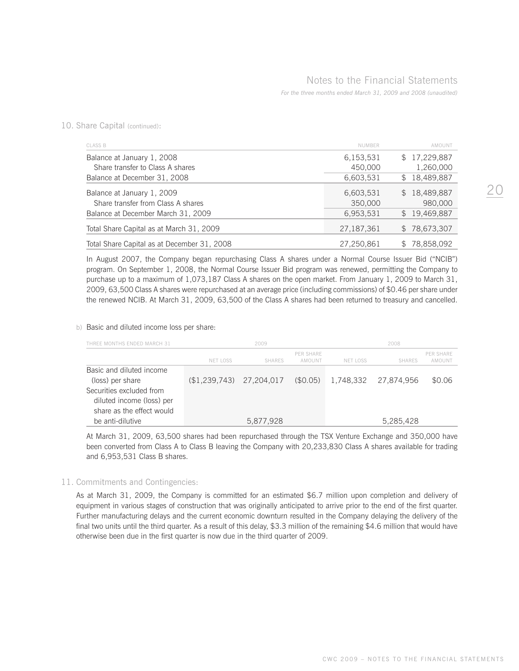10. Share Capital (continued):

| <b>CLASS B</b>                              | <b>NUMBER</b> | AMOUNT                     |
|---------------------------------------------|---------------|----------------------------|
| Balance at January 1, 2008                  | 6,153,531     | 17,229,887<br>S.           |
| Share transfer to Class A shares            | 450,000       | 1,260,000                  |
| Balance at December 31, 2008                | 6,603,531     | 18,489,887<br>\$           |
| Balance at January 1, 2009                  | 6,603,531     | 18,489,887<br>S.           |
| Share transfer from Class A shares          | 350,000       | 980,000                    |
| Balance at December March 31, 2009          | 6,953,531     | 19,469,887<br>$\mathbb{S}$ |
| Total Share Capital as at March 31, 2009    | 27,187,361    | 78,673,307<br>S.           |
| Total Share Capital as at December 31, 2008 | 27,250,861    | 78,858,092                 |

 In August 2007, the Company began repurchasing Class A shares under a Normal Course Issuer Bid ("NCIB") program. On September 1, 2008, the Normal Course Issuer Bid program was renewed, permitting the Company to purchase up to a maximum of 1,073,187 Class A shares on the open market. From January 1, 2009 to March 31, 2009, 63,500 Class A shares were repurchased at an average price (including commissions) of \$0.46 per share under the renewed NCIB. At March 31, 2009, 63,500 of the Class A shares had been returned to treasury and cancelled.

b) Basic and diluted income loss per share:

| THREE MONTHS ENDED MARCH 31 |               | 2009          |                     |           | 2008          |                     |
|-----------------------------|---------------|---------------|---------------------|-----------|---------------|---------------------|
|                             | NET LOSS      | <b>SHARFS</b> | PFR SHARF<br>AMOUNT | NFT LOSS  | <b>SHARFS</b> | PER SHARE<br>AMOUNT |
| Basic and diluted income    |               |               |                     |           |               |                     |
| (loss) per share            | (\$1,239,743) | 27.204.017    | (\$0.05)            | 1.748.332 | 27.874.956    | \$0.06              |
| Securities excluded from    |               |               |                     |           |               |                     |
| diluted income (loss) per   |               |               |                     |           |               |                     |
| share as the effect would   |               |               |                     |           |               |                     |
| be anti-dilutive            |               | 5,877,928     |                     |           | 5,285,428     |                     |

 At March 31, 2009, 63,500 shares had been repurchased through the TSX Venture Exchange and 350,000 have been converted from Class A to Class B leaving the Company with 20,233,830 Class A shares available for trading and 6,953,531 Class B shares.

#### 11. Commitments and Contingencies:

 As at March 31, 2009, the Company is committed for an estimated \$6.7 million upon completion and delivery of equipment in various stages of construction that was originally anticipated to arrive prior to the end of the first quarter. Further manufacturing delays and the current economic downturn resulted in the Company delaying the delivery of the final two units until the third quarter. As a result of this delay, \$3.3 million of the remaining \$4.6 million that would have otherwise been due in the first quarter is now due in the third quarter of 2009.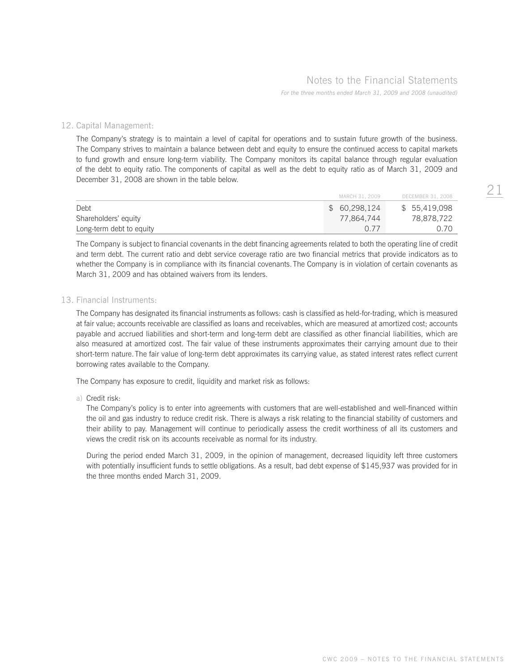#### 12. Capital Management:

 The Company's strategy is to maintain a level of capital for operations and to sustain future growth of the business. The Company strives to maintain a balance between debt and equity to ensure the continued access to capital markets to fund growth and ensure long-term viability. The Company monitors its capital balance through regular evaluation of the debt to equity ratio. The components of capital as well as the debt to equity ratio as of March 31, 2009 and December 31, 2008 are shown in the table below.

|                          | MARCH 31, 2009 | DECEMBER 31, 2008 |
|--------------------------|----------------|-------------------|
| Debt                     | \$60,298,124   | \$55,419,098      |
| Shareholders' equity     | 77,864,744     | 78,878,722        |
| Long-term debt to equity | O 77           | 0.70              |

 The Company is subject to financial covenants in the debt financing agreements related to both the operating line of credit and term debt. The current ratio and debt service coverage ratio are two financial metrics that provide indicators as to whether the Company is in compliance with its financial covenants. The Company is in violation of certain covenants as March 31, 2009 and has obtained waivers from its lenders.

#### 13. Financial Instruments:

 The Company has designated its financial instruments as follows: cash is classified as held-for-trading, which is measured at fair value; accounts receivable are classified as loans and receivables, which are measured at amortized cost; accounts payable and accrued liabilities and short-term and long-term debt are classified as other financial liabilities, which are also measured at amortized cost. The fair value of these instruments approximates their carrying amount due to their short-term nature. The fair value of long-term debt approximates its carrying value, as stated interest rates reflect current borrowing rates available to the Company.

The Company has exposure to credit, liquidity and market risk as follows:

a) Credit risk:

 The Company's policy is to enter into agreements with customers that are well-established and well-financed within the oil and gas industry to reduce credit risk. There is always a risk relating to the financial stability of customers and their ability to pay. Management will continue to periodically assess the credit worthiness of all its customers and views the credit risk on its accounts receivable as normal for its industry.

 During the period ended March 31, 2009, in the opinion of management, decreased liquidity left three customers with potentially insufficient funds to settle obligations. As a result, bad debt expense of \$145,937 was provided for in the three months ended March 31, 2009.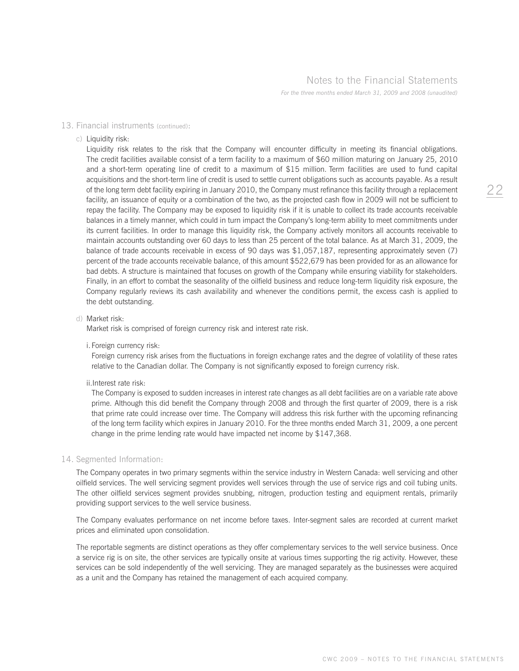#### 13. Financial instruments (continued):

#### c) Liquidity risk:

 Liquidity risk relates to the risk that the Company will encounter difficulty in meeting its financial obligations. The credit facilities available consist of a term facility to a maximum of \$60 million maturing on January 25, 2010 and a short-term operating line of credit to a maximum of \$15 million. Term facilities are used to fund capital acquisitions and the short-term line of credit is used to settle current obligations such as accounts payable. As a result of the long term debt facility expiring in January 2010, the Company must refinance this facility through a replacement facility, an issuance of equity or a combination of the two, as the projected cash flow in 2009 will not be sufficient to repay the facility. The Company may be exposed to liquidity risk if it is unable to collect its trade accounts receivable balances in a timely manner, which could in turn impact the Company's long-term ability to meet commitments under its current facilities. In order to manage this liquidity risk, the Company actively monitors all accounts receivable to maintain accounts outstanding over 60 days to less than 25 percent of the total balance. As at March 31, 2009, the balance of trade accounts receivable in excess of 90 days was \$1,057,187, representing approximately seven (7) percent of the trade accounts receivable balance, of this amount \$522,679 has been provided for as an allowance for bad debts. A structure is maintained that focuses on growth of the Company while ensuring viability for stakeholders. Finally, in an effort to combat the seasonality of the oilfield business and reduce long-term liquidity risk exposure, the Company regularly reviews its cash availability and whenever the conditions permit, the excess cash is applied to the debt outstanding.

#### d) Market risk:

Market risk is comprised of foreign currency risk and interest rate risk.

i.Foreign currency risk:

 Foreign currency risk arises from the fluctuations in foreign exchange rates and the degree of volatility of these rates relative to the Canadian dollar. The Company is not significantly exposed to foreign currency risk.

ii.Interest rate risk:

 The Company is exposed to sudden increases in interest rate changes as all debt facilities are on a variable rate above prime. Although this did benefit the Company through 2008 and through the first quarter of 2009, there is a risk that prime rate could increase over time. The Company will address this risk further with the upcoming refinancing of the long term facility which expires in January 2010. For the three months ended March 31, 2009, a one percent change in the prime lending rate would have impacted net income by \$147,368.

#### 14. Segmented Information:

 The Company operates in two primary segments within the service industry in Western Canada: well servicing and other oilfield services. The well servicing segment provides well services through the use of service rigs and coil tubing units. The other oilfield services segment provides snubbing, nitrogen, production testing and equipment rentals, primarily providing support services to the well service business.

 The Company evaluates performance on net income before taxes. Inter-segment sales are recorded at current market prices and eliminated upon consolidation.

 The reportable segments are distinct operations as they offer complementary services to the well service business. Once a service rig is on site, the other services are typically onsite at various times supporting the rig activity. However, these services can be sold independently of the well servicing. They are managed separately as the businesses were acquired as a unit and the Company has retained the management of each acquired company.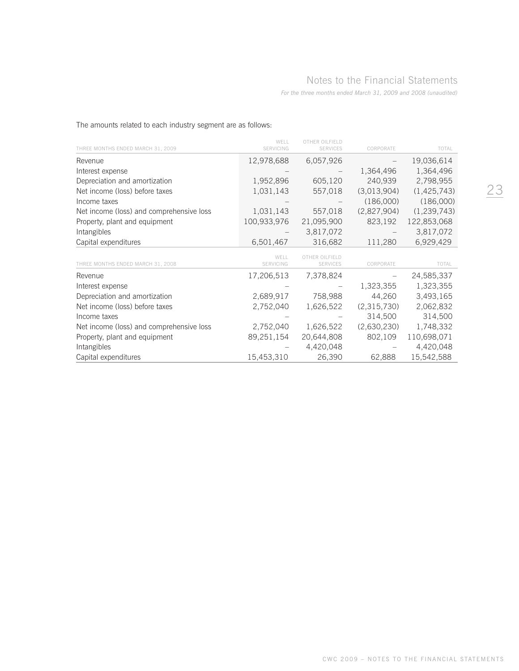| The amounts related to each industry segment are as follows: |  |
|--------------------------------------------------------------|--|
|--------------------------------------------------------------|--|

| THREE MONTHS ENDED MARCH 31, 2009        | WFI I<br><b>SERVICING</b> | OTHER OILEIELD<br><b>SERVICES</b> | CORPORATE   | TOTAL         |
|------------------------------------------|---------------------------|-----------------------------------|-------------|---------------|
| Revenue                                  | 12,978,688                | 6,057,926                         |             | 19,036,614    |
| Interest expense                         |                           |                                   | 1,364,496   | 1,364,496     |
| Depreciation and amortization            | 1,952,896                 | 605,120                           | 240,939     | 2,798,955     |
| Net income (loss) before taxes           | 1,031,143                 | 557,018                           | (3,013,904) | (1,425,743)   |
| Income taxes                             |                           |                                   | (186,000)   | (186,000)     |
| Net income (loss) and comprehensive loss | 1,031,143                 | 557,018                           | (2,827,904) | (1, 239, 743) |
| Property, plant and equipment            | 100,933,976               | 21,095,900                        | 823,192     | 122,853,068   |
| Intangibles                              |                           | 3,817,072                         |             | 3,817,072     |
| Capital expenditures                     | 6,501,467                 | 316,682                           | 111,280     | 6,929,429     |
| THREE MONTHS ENDED MARCH 31, 2008        | WFI I<br><b>SERVICING</b> | OTHER OILEIFLD<br><b>SERVICES</b> | CORPORATE   | TOTAL         |
| Revenue                                  | 17,206,513                | 7,378,824                         |             | 24,585,337    |
| Interest expense                         |                           |                                   | 1,323,355   | 1,323,355     |
| Depreciation and amortization            | 2,689,917                 | 758,988                           | 44,260      | 3,493,165     |
| Net income (loss) before taxes           | 2,752,040                 | 1,626,522                         | (2,315,730) | 2,062,832     |
| Income taxes                             |                           |                                   | 314,500     | 314,500       |
| Net income (loss) and comprehensive loss | 2,752,040                 | 1,626,522                         | (2,630,230) | 1,748,332     |
| Property, plant and equipment            | 89,251,154                | 20,644,808                        | 802,109     | 110,698,071   |
| Intangibles                              |                           | 4,420,048                         |             | 4,420,048     |
| Capital expenditures                     | 15,453,310                | 26,390                            | 62,888      | 15,542,588    |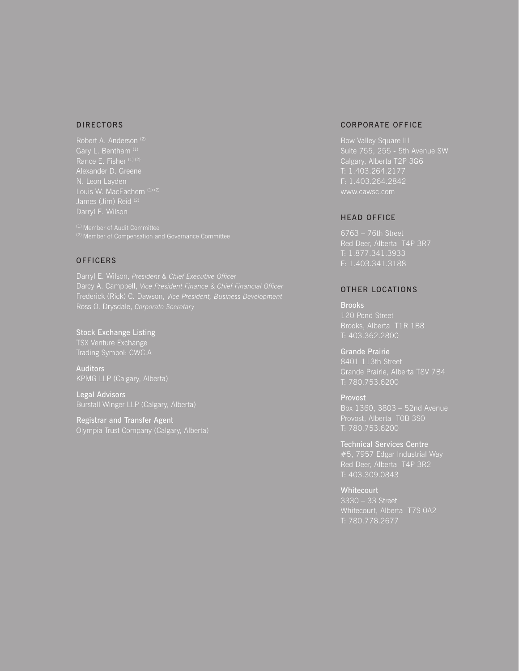#### DIRECTORS

Robert A. Anderson<sup>(2)</sup> Gary L. Bentham<sup>(1)</sup> N. Leon Layden

#### **OFFICERS**

Stock Exchange Listing **TSX Venture Exchange** 

Auditors KPMG LLP (Calgary, Alberta)

Legal Advisors Burstall Winger LLP (Calgary, Alberta)

Registrar and Transfer Agent Olympia Trust Company (Calgary, Alberta)

#### CORPORATE OFFICE

Bow Valley Square III F: 1.403.264.2842

#### HEAD OFFICE

Red Deer, Alberta T4P 3R7 T: 1.877.341.3933 F: 1.403.341.3188

### OTHER LOCATIONS

Brooks 120 Pond Street Brooks, Alberta T1R 1B8 T: 403.362.2800

Grande Prairie 8401 113th Street T: 780.753.6200

Provost Box 1360, 3803 – 52nd Avenue Provost, Alberta T0B 3S0

Technical Services Centre #5, 7957 Edgar Industrial Way T: 403.309.0843

**Whitecourt** 3330 – 33 Street T: 780.778.2677